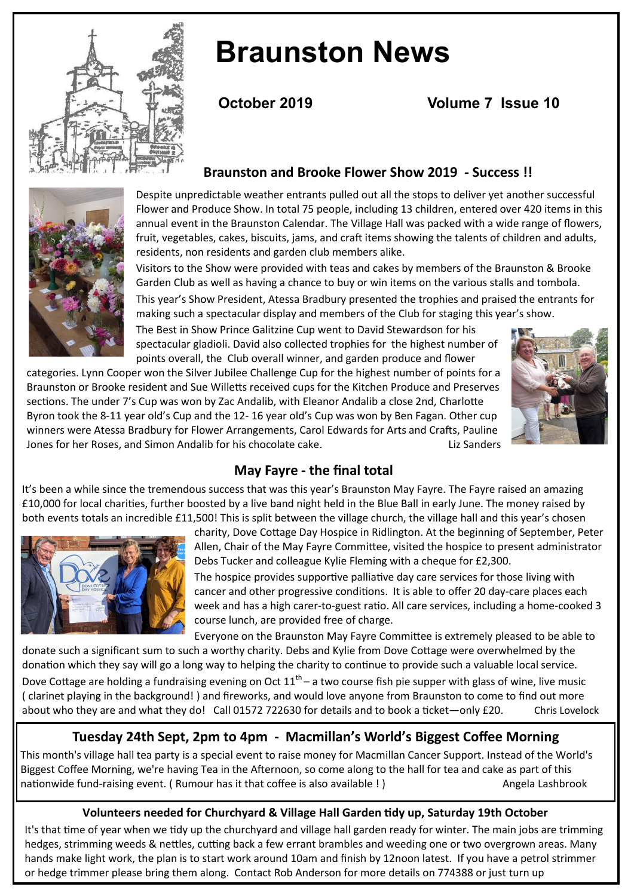

# **Braunston News**

**October 2019 Volume 7 Issue 10** 





Despite unpredictable weather entrants pulled out all the stops to deliver yet another successful Flower and Produce Show. In total 75 people, including 13 children, entered over 420 items in this annual event in the Braunston Calendar. The Village Hall was packed with a wide range of flowers, fruit, vegetables, cakes, biscuits, jams, and craft items showing the talents of children and adults, residents, non residents and garden club members alike.

Visitors to the Show were provided with teas and cakes by members of the Braunston & Brooke Garden Club as well as having a chance to buy or win items on the various stalls and tombola.

This year's Show President, Atessa Bradbury presented the trophies and praised the entrants for making such a spectacular display and members of the Club for staging this year's show.

The Best in Show Prince Galitzine Cup went to David Stewardson for his spectacular gladioli. David also collected trophies for the highest number of points overall, the Club overall winner, and garden produce and flower

categories. Lynn Cooper won the Silver Jubilee Challenge Cup for the highest number of points for a Braunston or Brooke resident and Sue Willetts received cups for the Kitchen Produce and Preserves sections. The under 7's Cup was won by Zac Andalib, with Eleanor Andalib a close 2nd, Charlotte Byron took the 8-11 year old's Cup and the 12- 16 year old's Cup was won by Ben Fagan. Other cup winners were Atessa Bradbury for Flower Arrangements, Carol Edwards for Arts and Crafts, Pauline Jones for her Roses, and Simon Andalib for his chocolate cake. Liz Sanders



# **May Fayre - the final total**

It's been a while since the tremendous success that was this year's Braunston May Fayre. The Fayre raised an amazing £10,000 for local charities, further boosted by a live band night held in the Blue Ball in early June. The money raised by both events totals an incredible £11,500! This is split between the village church, the village hall and this year's chosen



charity, Dove Cottage Day Hospice in Ridlington. At the beginning of September, Peter Allen, Chair of the May Fayre Committee, visited the hospice to present administrator Debs Tucker and colleague Kylie Fleming with a cheque for £2,300.

The hospice provides supportive palliative day care services for those living with cancer and other progressive conditions. It is able to offer 20 day-care places each week and has a high carer-to-guest ratio. All care services, including a home-cooked 3 course lunch, are provided free of charge.

Everyone on the Braunston May Fayre Committee is extremely pleased to be able to donate such a significant sum to such a worthy charity. Debs and Kylie from Dove Cottage were overwhelmed by the donation which they say will go a long way to helping the charity to continue to provide such a valuable local service.

Dove Cottage are holding a fundraising evening on Oct  $11<sup>th</sup>$  – a two course fish pie supper with glass of wine, live music ( clarinet playing in the background! ) and fireworks, and would love anyone from Braunston to come to find out more about who they are and what they do! Call 01572 722630 for details and to book a ticket—only £20. Chris Lovelock

# **Tuesday 24th Sept, 2pm to 4pm - Macmillan's World's Biggest Coffee Morning**

This month's village hall tea party is a special event to raise money for Macmillan Cancer Support. Instead of the World's Biggest Coffee Morning, we're having Tea in the Afternoon, so come along to the hall for tea and cake as part of this nationwide fund-raising event. ( Rumour has it that coffee is also available ! ) Angela Lashbrook

#### **Volunteers needed for Churchyard & Village Hall Garden tidy up, Saturday 19th October**

It's that time of year when we tidy up the churchyard and village hall garden ready for winter. The main jobs are trimming hedges, strimming weeds & nettles, cutting back a few errant brambles and weeding one or two overgrown areas. Many hands make light work, the plan is to start work around 10am and finish by 12noon latest. If you have a petrol strimmer or hedge trimmer please bring them along. Contact Rob Anderson for more details on 774388 or just turn up